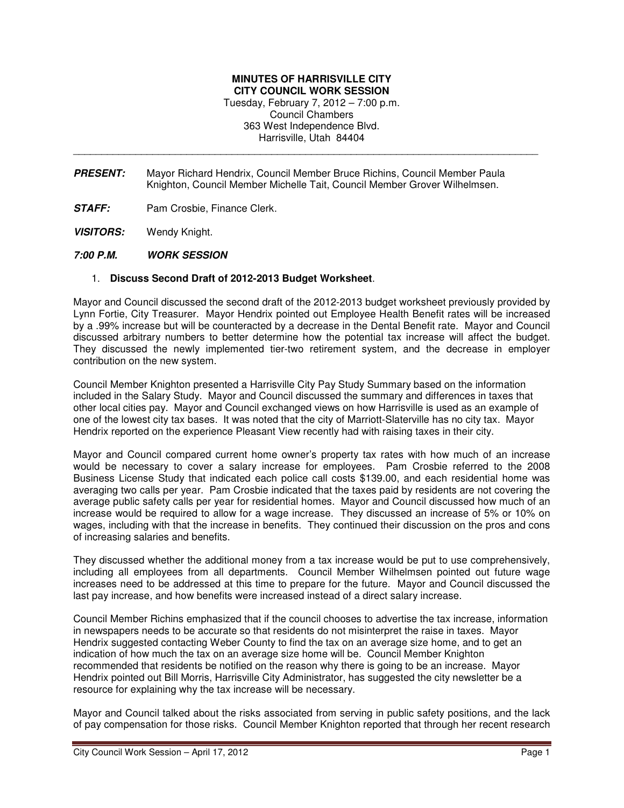## **MINUTES OF HARRISVILLE CITY CITY COUNCIL WORK SESSION**

Tuesday, February 7, 2012 – 7:00 p.m. Council Chambers 363 West Independence Blvd. Harrisville, Utah 84404

\_\_\_\_\_\_\_\_\_\_\_\_\_\_\_\_\_\_\_\_\_\_\_\_\_\_\_\_\_\_\_\_\_\_\_\_\_\_\_\_\_\_\_\_\_\_\_\_\_\_\_\_\_\_\_\_\_\_\_\_\_\_\_\_\_\_\_\_\_\_\_\_\_\_\_\_\_\_\_\_\_\_

- **PRESENT:** Mayor Richard Hendrix, Council Member Bruce Richins, Council Member Paula Knighton, Council Member Michelle Tait, Council Member Grover Wilhelmsen.
- **STAFF:** Pam Crosbie, Finance Clerk.
- **VISITORS:** Wendy Knight.
- **7:00 P.M. WORK SESSION**

## 1. **Discuss Second Draft of 2012-2013 Budget Worksheet**.

Mayor and Council discussed the second draft of the 2012-2013 budget worksheet previously provided by Lynn Fortie, City Treasurer. Mayor Hendrix pointed out Employee Health Benefit rates will be increased by a .99% increase but will be counteracted by a decrease in the Dental Benefit rate. Mayor and Council discussed arbitrary numbers to better determine how the potential tax increase will affect the budget. They discussed the newly implemented tier-two retirement system, and the decrease in employer contribution on the new system.

Council Member Knighton presented a Harrisville City Pay Study Summary based on the information included in the Salary Study. Mayor and Council discussed the summary and differences in taxes that other local cities pay. Mayor and Council exchanged views on how Harrisville is used as an example of one of the lowest city tax bases. It was noted that the city of Marriott-Slaterville has no city tax. Mayor Hendrix reported on the experience Pleasant View recently had with raising taxes in their city.

Mayor and Council compared current home owner's property tax rates with how much of an increase would be necessary to cover a salary increase for employees. Pam Crosbie referred to the 2008 Business License Study that indicated each police call costs \$139.00, and each residential home was averaging two calls per year. Pam Crosbie indicated that the taxes paid by residents are not covering the average public safety calls per year for residential homes. Mayor and Council discussed how much of an increase would be required to allow for a wage increase. They discussed an increase of 5% or 10% on wages, including with that the increase in benefits. They continued their discussion on the pros and cons of increasing salaries and benefits.

They discussed whether the additional money from a tax increase would be put to use comprehensively, including all employees from all departments. Council Member Wilhelmsen pointed out future wage increases need to be addressed at this time to prepare for the future. Mayor and Council discussed the last pay increase, and how benefits were increased instead of a direct salary increase.

Council Member Richins emphasized that if the council chooses to advertise the tax increase, information in newspapers needs to be accurate so that residents do not misinterpret the raise in taxes. Mayor Hendrix suggested contacting Weber County to find the tax on an average size home, and to get an indication of how much the tax on an average size home will be. Council Member Knighton recommended that residents be notified on the reason why there is going to be an increase. Mayor Hendrix pointed out Bill Morris, Harrisville City Administrator, has suggested the city newsletter be a resource for explaining why the tax increase will be necessary.

Mayor and Council talked about the risks associated from serving in public safety positions, and the lack of pay compensation for those risks. Council Member Knighton reported that through her recent research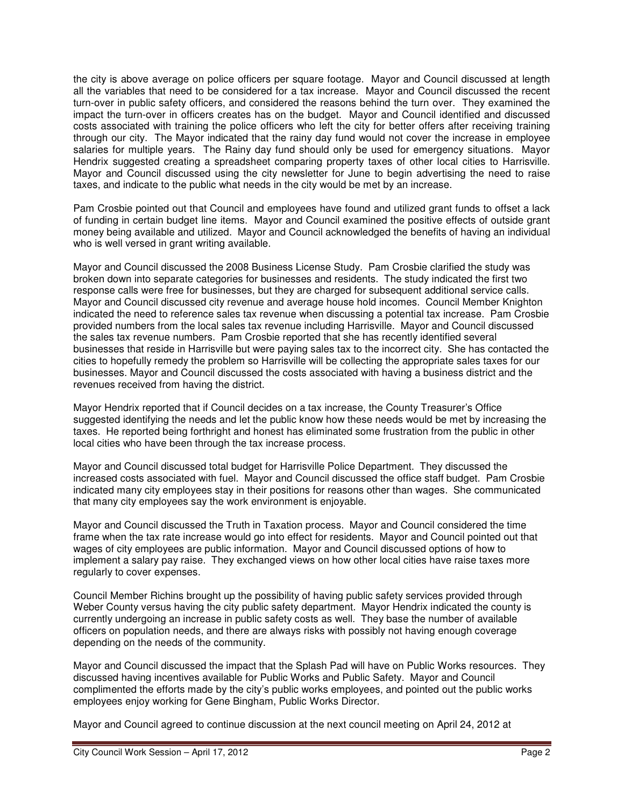the city is above average on police officers per square footage. Mayor and Council discussed at length all the variables that need to be considered for a tax increase. Mayor and Council discussed the recent turn-over in public safety officers, and considered the reasons behind the turn over. They examined the impact the turn-over in officers creates has on the budget. Mayor and Council identified and discussed costs associated with training the police officers who left the city for better offers after receiving training through our city. The Mayor indicated that the rainy day fund would not cover the increase in employee salaries for multiple years. The Rainy day fund should only be used for emergency situations. Mayor Hendrix suggested creating a spreadsheet comparing property taxes of other local cities to Harrisville. Mayor and Council discussed using the city newsletter for June to begin advertising the need to raise taxes, and indicate to the public what needs in the city would be met by an increase.

Pam Crosbie pointed out that Council and employees have found and utilized grant funds to offset a lack of funding in certain budget line items. Mayor and Council examined the positive effects of outside grant money being available and utilized. Mayor and Council acknowledged the benefits of having an individual who is well versed in grant writing available.

Mayor and Council discussed the 2008 Business License Study. Pam Crosbie clarified the study was broken down into separate categories for businesses and residents. The study indicated the first two response calls were free for businesses, but they are charged for subsequent additional service calls. Mayor and Council discussed city revenue and average house hold incomes. Council Member Knighton indicated the need to reference sales tax revenue when discussing a potential tax increase. Pam Crosbie provided numbers from the local sales tax revenue including Harrisville. Mayor and Council discussed the sales tax revenue numbers. Pam Crosbie reported that she has recently identified several businesses that reside in Harrisville but were paying sales tax to the incorrect city. She has contacted the cities to hopefully remedy the problem so Harrisville will be collecting the appropriate sales taxes for our businesses. Mayor and Council discussed the costs associated with having a business district and the revenues received from having the district.

Mayor Hendrix reported that if Council decides on a tax increase, the County Treasurer's Office suggested identifying the needs and let the public know how these needs would be met by increasing the taxes. He reported being forthright and honest has eliminated some frustration from the public in other local cities who have been through the tax increase process.

Mayor and Council discussed total budget for Harrisville Police Department. They discussed the increased costs associated with fuel. Mayor and Council discussed the office staff budget. Pam Crosbie indicated many city employees stay in their positions for reasons other than wages. She communicated that many city employees say the work environment is enjoyable.

Mayor and Council discussed the Truth in Taxation process. Mayor and Council considered the time frame when the tax rate increase would go into effect for residents. Mayor and Council pointed out that wages of city employees are public information. Mayor and Council discussed options of how to implement a salary pay raise. They exchanged views on how other local cities have raise taxes more regularly to cover expenses.

Council Member Richins brought up the possibility of having public safety services provided through Weber County versus having the city public safety department. Mayor Hendrix indicated the county is currently undergoing an increase in public safety costs as well. They base the number of available officers on population needs, and there are always risks with possibly not having enough coverage depending on the needs of the community.

Mayor and Council discussed the impact that the Splash Pad will have on Public Works resources. They discussed having incentives available for Public Works and Public Safety. Mayor and Council complimented the efforts made by the city's public works employees, and pointed out the public works employees enjoy working for Gene Bingham, Public Works Director.

Mayor and Council agreed to continue discussion at the next council meeting on April 24, 2012 at